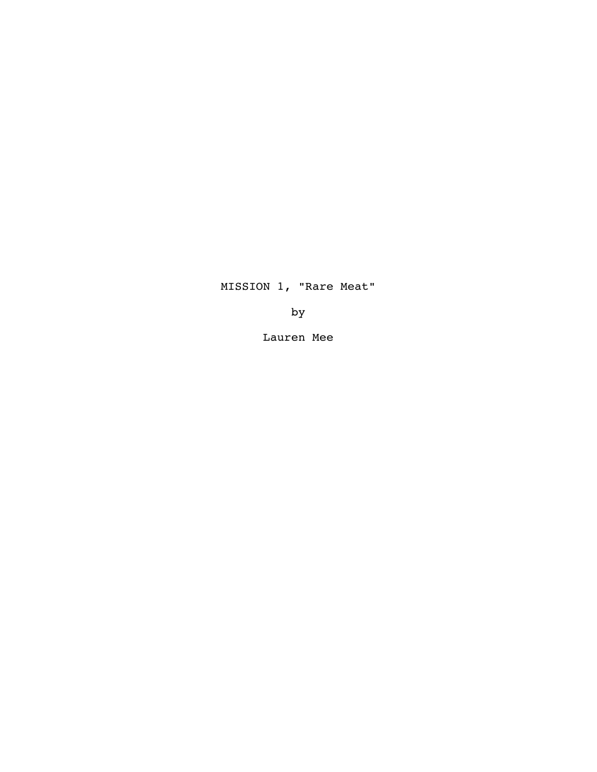MISSION 1, "Rare Meat"

by

Lauren Mee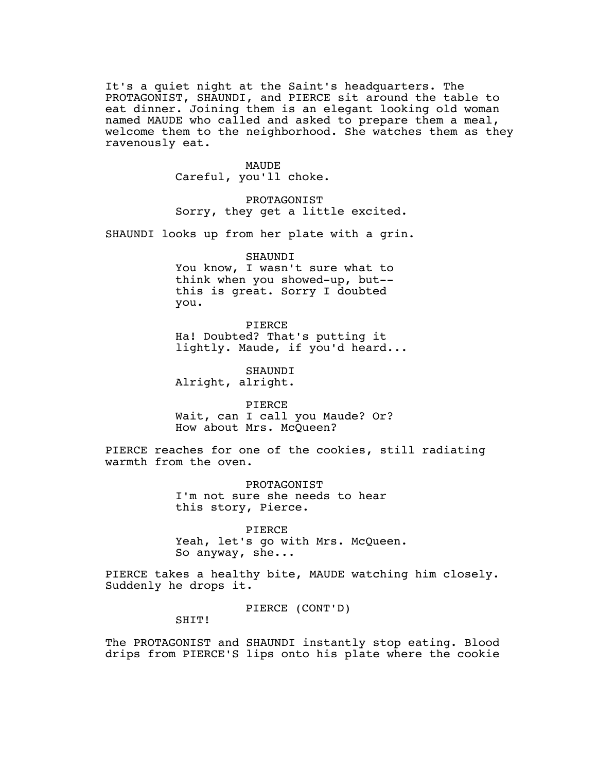It's a quiet night at the Saint's headquarters. The PROTAGONIST, SHAUNDI, and PIERCE sit around the table to eat dinner. Joining them is an elegant looking old woman named MAUDE who called and asked to prepare them a meal, welcome them to the neighborhood. She watches them as they ravenously eat.

> MAUDE Careful, you'll choke.

PROTAGONIST Sorry, they get a little excited.

SHAUNDI looks up from her plate with a grin.

SHAUNDI

You know, I wasn't sure what to think when you showed-up, but- this is great. Sorry I doubted you.

PIERCE Ha! Doubted? That's putting it lightly. Maude, if you'd heard...

SHAUNDI Alright, alright.

PIERCE Wait, can I call you Maude? Or? How about Mrs. McQueen?

PIERCE reaches for one of the cookies, still radiating warmth from the oven.

> PROTAGONIST I'm not sure she needs to hear this story, Pierce.

PIERCE Yeah, let's go with Mrs. McQueen. So anyway, she...

PIERCE takes a healthy bite, MAUDE watching him closely. Suddenly he drops it.

PIERCE (CONT'D)

SHIT!

The PROTAGONIST and SHAUNDI instantly stop eating. Blood drips from PIERCE'S lips onto his plate where the cookie